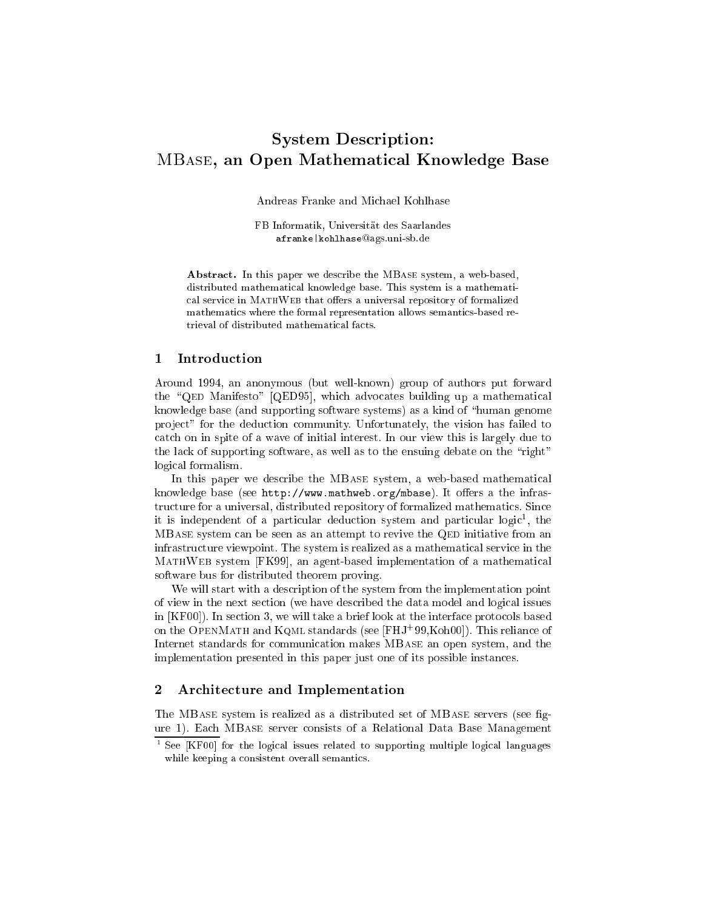# System Des
ription: MBase, an Open Mathemati
al Knowledge Base

Andreas Franke and Mi
hael Kohlhase

FB Informatik, Universitat des Saarlandes afranke|kohlhaseags.uni-sb.de

Abstract. In this paper we describe the MBASE system, a web-based, distributed mathemati
al knowledge base. This system is a mathemati cal service in MATHWEB that offers a universal repository of formalized mathematics where the formal representation allows semantics-based retrieval of distributed mathematical facts.

#### $\mathbf{1}$ Introduction

Around 1994, an anonymous (but well-known) group of authors put forward the "QED Manifesto"  $[QED95]$ , which advocates building up a mathematical knowledge base (and supporting software systems) as a kind of "human genome project" for the deduction community. Unfortunately, the vision has failed to at
h on in spite of a wave of initial interest. In our view this is largely due to the lack of supporting software, as well as to the ensuing debate on the "right" logi
al formalism.

In this paper we describe the MBASE system, a web-based mathematical knowledge base (see http://www.mathweb.org/mbase). It offers a the infrastructure for a universal, distributed repository of formalized mathematics. Since it is independent of a particular deduction system and particular  $logic^{1}$ , the an be seen as an attempt to review the secondary to review the attempt to review  $\mathcal{A}_i$ infrastructure viewpoint. The system is realized as a mathematical service in the mathweb system [FK99], and agent-based implementation of a mathematically software bus for distributed theorem proving.

We will start with a description of the system from the implementation point of view in the next se
tion (we have des
ribed the data model and logi
al issues in  $[KF00]$ ). In section 3, we will take a brief look at the interface protocols based on the OPENMATH and KQML standards (see  $[FHJ+99,Koh00]$ ). This reliance of Internet standards for ommuni
ation makes MBase an open system, and the implementation presented in this paper just one of its possible instan
es.

### 2 Architecture and Implementation

The MBASE system is realized as a distributed set of MBASE servers (see figure 1). Ea
h MBase server onsists of a Relational Data Base Management

see |KF00| for the logical issues related to supporting multiple logical languages while keeping a consistent overall semantics.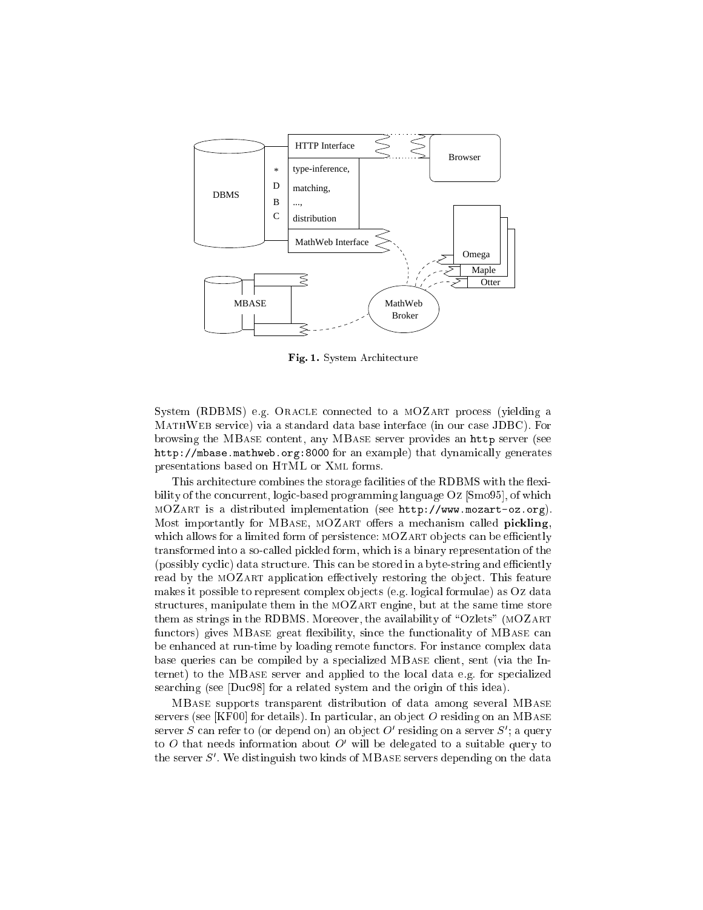

Fig. 1. System Architecture

System (RDBMS) e.g. ORACLE connected to a MOZART process (yielding a MATHWEB service) via a standard data base interface (in our case JDBC). For browsing the MBASE content, any MBASE server provides an **http** server (see http://mbase.mathweb.org:8000 for an example) that dynamically generates presentations based on HTML or XML forms.

This architecture combines the storage facilities of the RDBMS with the flexibility of the concurrent, logic-based programming language Oz [Smo95], of which  $MOZART$  is a distributed implementation (see http://www.mozart-oz.org). Most importantly for MBASE, MOZART offers a mechanism called pickling, which allows for a limited form of persistence: MOZART objects can be efficiently transformed into a so-called pickled form, which is a binary representation of the (possibly cyclic) data structure. This can be stored in a byte-string and efficiently read by the MOZART application effectively restoring the object. This feature makes it possible to represent complex objects (e.g. logical formulae) as Oz data structures, manipulate them in the MOZART engine, but at the same time store them as strings in the RDBMS. Moreover, the availability of "Ozlets" (MOZART functors) gives MBASE great flexibility, since the functionality of MBASE can be enhanced at run-time by loading remote functors. For instance complex data base queries can be compiled by a specialized MBASE client, sent (via the Internet) to the MBASE server and applied to the local data e.g. for specialized searching (see [Duc98] for a related system and the origin of this idea).

MBASE supports transparent distribution of data among several MBASE servers (see [KF00] for details). In particular, an object  $O$  residing on an MBASE server S can refer to (or depend on) an object O' residing on a server S'; a query to O that needs information about  $O'$  will be delegated to a suitable query to the server  $S'$ . We distinguish two kinds of MBASE servers depending on the data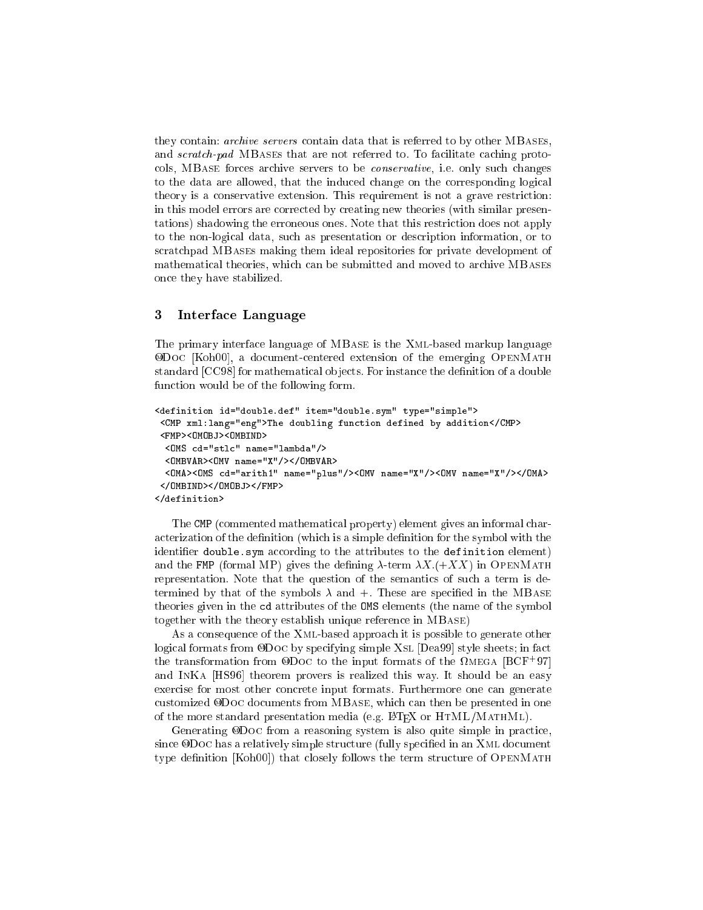they contain: *archive servers* contain data that is referred to by other MBASES, and *scratch-pad* MBASEs that are not referred to. To facilitate caching protocols, MBASE forces archive servers to be *conservative*, i.e. only such changes to the data are allowed, that the induced change on the corresponding logical theory is a conservative extension. This requirement is not a grave restriction: in this model errors are corrected by creating new theories (with similar presentations) shadowing the erroneous ones. Note that this restri
tion does not apply to the non-logical data, such as presentation or description information, or to s
rat
hpad MBases making them ideal repositories for private development of mathematical theories, which can be submitted and moved to archive MBASES on
e they have stabilized.

### 3 Interfa
e Language

The primary interfa
e language of MBase is the Xml-based markup language OD 00 Tronoof, a document centered extension of the emerging OpenVirtual standard [CC98] for mathematical objects. For instance the definition of a double function would be of the following form.

```
<definition id="double.def" item="double.sym" type="simple">
<CMP xml:lang="eng">The doubling fun
tion defined by addition</CMP>
<FMP><OMOBJ><OMBIND>
  <OMS cd="stlc" name="lambda"/>
  <OMBVAR><OMV name="X"/></OMBVAR>
  <OMA><OMS 
d="arith1" name="plus"/><OMV name="X"/><OMV name="X"/></OMA>
</OMBIND></OMOBJ></FMP>
</definition>
```
The CMP (
ommented mathemati
al property) element gives an informal haracterization of the definition (which is a simple definition for the symbol with the identifier double.sym according to the attributes to the definition element) and the FMP (formal MP) gives the defining  $\lambda$ -term  $\lambda X.(+XX)$  in OPENMATH representation. Note that the question of the semantics of such a term is determined by that of the symbols  $\lambda$  and  $+$ . These are specified in the MBASE theories given in the d attributes of the OMS elements (the name of the symbol together with the theory establish unique referen
e in MBase)

As a consequence of the XML-based approach it is possible to generate other logical formats from  $\Theta$ DOC by specifying simple XsL [Dea99] style sheets; in fact the transformation from ODoc to the input formats of the  $\Omega_{\text{MEGA}}$  [BCF+97] and INKA [HS96] theorem provers is realized this way. It should be an easy exercise for most other concrete input formats. Furthermore one can generate customized ODOC documents from MBASE, which can then be presented in one of the more standard presentation media (e.g.  $\angle$ FTEX or HTML/MATHML).

Generating ODoc from a reasoning system is also quite simple in practice, since ODoc has a relatively simple structure (fully specified in an XML document type definition [Koh00]) that closely follows the term structure of OPENMATH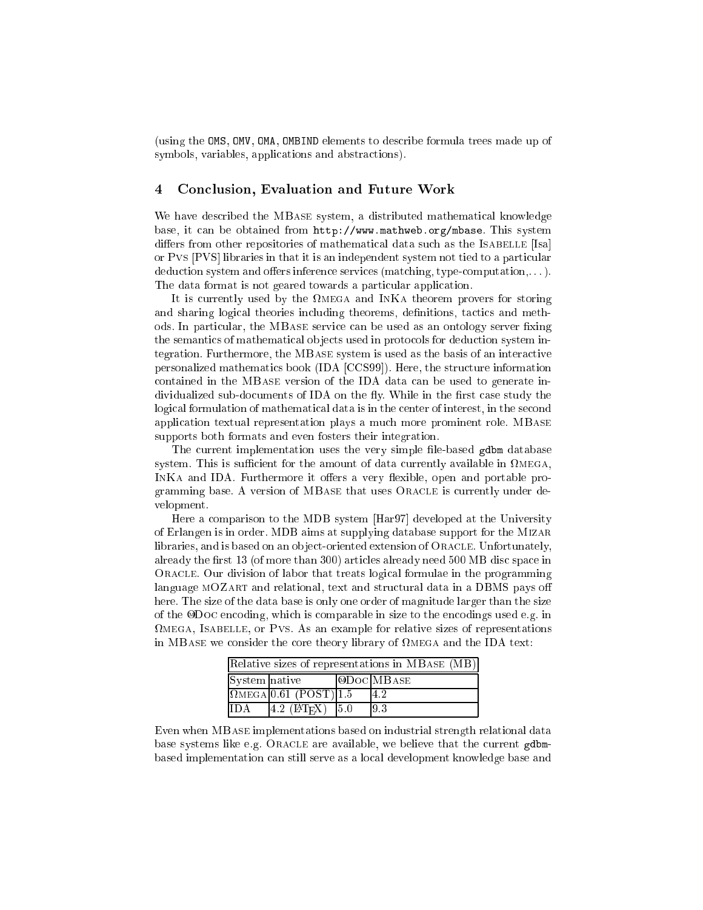(using the OMS, OMV, OMA, OMBIND elements to des
ribe formula trees made up of symbols, variables, applications and abstractions).

#### 4 Con
lusion, Evaluation and Future Work

We have described the MBASE system, a distributed mathematical knowledge base, it can be obtained from http://www.mathweb.org/mbase. This system differs from other repositories of mathematical data such as the ISABELLE [Isa] or Pvs [PVS] libraries in that it is an independent system not tied to a particular deduction system and offers inference services (matching, type-computation,...). The data format is not geared towards a particular application.

 $\mathbf{u}$  is the urrently used by the inKa theorem prove storing for storing for storing for storing for storing for storing for storing for storing for storing for storing for storing for storing for storing for storing f and sharing logical theories including theorems, definitions, tactics and methods. In particular, the MBASE service can be used as an ontology server fixing the semantics of mathematical objects used in protocols for deduction system integration. Furthermore, the MBase system is used as the basis of an intera
tive personalized mathematics book (IDA [CCS99]). Here, the structure information ontained in the MBase version of the IDA data an be used to generate individualized sub-documents of IDA on the fly. While in the first case study the logical formulation of mathematical data is in the center of interest, in the second application textual representation plays a much more prominent role. MBASE supports both formats and even fosters their integration.

The current implementation uses the very simple file-based gdbm database system. These is such that is not decomposition is such the amount  $\mu$  available in the amount  $\mu$ InKa and IDA. Furthermore it oers a very exible, open and portable programming base. A version of MBASE that uses ORACLE is currently under development.

Here a comparison to the MDB system [Har97] developed at the University of Erlangen is in order. MDB aims at supplying database support for the Mizar libraries, and is based on an object-oriented extension of ORACLE. Unfortunately, already the first 13 (of more than 300) articles already need 500 MB disc space in ORACLE. Our division of labor that treats logical formulae in the programming language MOZART and relational, text and structural data in a DBMS pays off here. The size of the data base is only one order of magnitude larger than the size of the  $\mathfrak{O}$  ocencoding, which is comparable in size to the encodings used e.g. in mega, Isabelle, or Pvs. As an example for relative sizes of representations in MBase we onsider the ore theory library of mega and the IDA text:

| Relative sizes of representations in MBASE (MB) |                               |  |                    |
|-------------------------------------------------|-------------------------------|--|--------------------|
| System native                                   |                               |  | $\Theta$ DOC MBASE |
|                                                 | $\Omega$ MEGA 0.61 (POST) 1.5 |  | I4.2               |
| IDA                                             | $4.2 \text{ (IATEX)}$ 5.0     |  | 93                 |

Even when MBase implementations based on industrial strength relational data base systems like e.g. ORACLE are available, we believe that the current gdbmbased implementation an still serve as a lo
al development knowledge base and